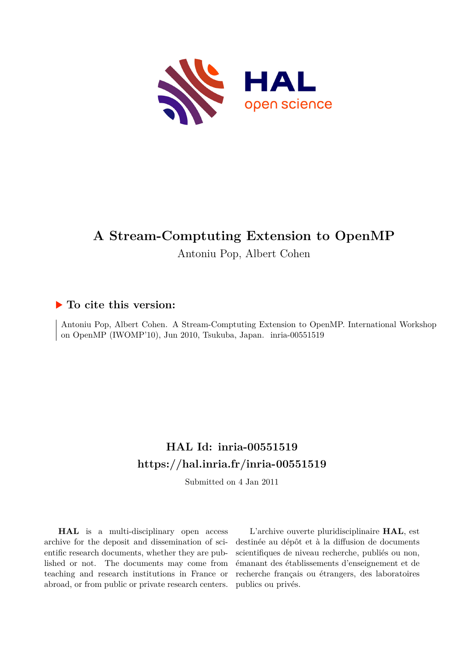

# **A Stream-Comptuting Extension to OpenMP**

Antoniu Pop, Albert Cohen

### **To cite this version:**

Antoniu Pop, Albert Cohen. A Stream-Comptuting Extension to OpenMP. International Workshop on OpenMP (IWOMP'10), Jun 2010, Tsukuba, Japan. inria-00551519

## **HAL Id: inria-00551519 <https://hal.inria.fr/inria-00551519>**

Submitted on 4 Jan 2011

**HAL** is a multi-disciplinary open access archive for the deposit and dissemination of scientific research documents, whether they are published or not. The documents may come from teaching and research institutions in France or abroad, or from public or private research centers.

L'archive ouverte pluridisciplinaire **HAL**, est destinée au dépôt et à la diffusion de documents scientifiques de niveau recherche, publiés ou non, émanant des établissements d'enseignement et de recherche français ou étrangers, des laboratoires publics ou privés.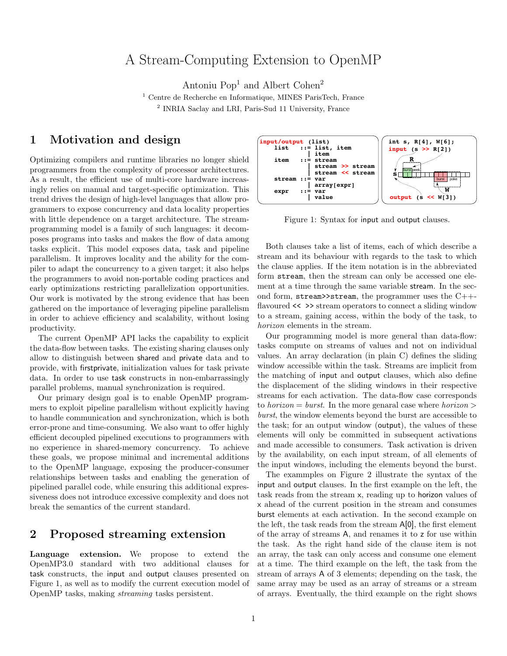## A Stream-Computing Extension to OpenMP

Antoniu  $Pop<sup>1</sup>$  and Albert Cohen<sup>2</sup>

<sup>1</sup> Centre de Recherche en Informatique, MINES ParisTech, France 2 INRIA Saclay and LRI, Paris-Sud 11 University, France

#### 1 Motivation and design

Optimizing compilers and runtime libraries no longer shield programmers from the complexity of processor architectures. As a result, the efficient use of multi-core hardware increasingly relies on manual and target-specific optimization. This trend drives the design of high-level languages that allow programmers to expose concurrency and data locality properties with little dependence on a target architecture. The streamprogramming model is a family of such languages: it decomposes programs into tasks and makes the flow of data among tasks explicit. This model exposes data, task and pipeline parallelism. It improves locality and the ability for the compiler to adapt the concurrency to a given target; it also helps the programmers to avoid non-portable coding practices and early optimizations restricting parallelization opportunities. Our work is motivated by the strong evidence that has been gathered on the importance of leveraging pipeline parallelism in order to achieve efficiency and scalability, without losing productivity.

The current OpenMP API lacks the capability to explicit the data-flow between tasks. The existing sharing clauses only allow to distinguish between shared and private data and to provide, with firstprivate, initialization values for task private data. In order to use task constructs in non-embarrassingly parallel problems, manual synchronization is required.

Our primary design goal is to enable OpenMP programmers to exploit pipeline parallelism without explicitly having to handle communication and synchronization, which is both error-prone and time-consuming. We also want to offer highly efficient decoupled pipelined executions to programmers with no experience in shared-memory concurrency. To achieve these goals, we propose minimal and incremental additions to the OpenMP language, exposing the producer-consumer relationships between tasks and enabling the generation of pipelined parallel code, while ensuring this additional expressiveness does not introduce excessive complexity and does not break the semantics of the current standard.

#### 2 Proposed streaming extension

Language extension. We propose to extend the OpenMP3.0 standard with two additional clauses for task constructs, the input and output clauses presented on Figure 1, as well as to modify the current execution model of OpenMP tasks, making streaming tasks persistent.



Figure 1: Syntax for input and output clauses.

Both clauses take a list of items, each of which describe a stream and its behaviour with regards to the task to which the clause applies. If the item notation is in the abbreviated form stream, then the stream can only be accessed one element at a time through the same variable stream. In the second form,  $stream$ >stream, the programmer uses the  $C++$ flavoured  $\langle \rangle$  > stream operators to connect a sliding window to a stream, gaining access, within the body of the task, to horizon elements in the stream.

Our programming model is more general than data-flow: tasks compute on streams of values and not on individual values. An array declaration (in plain C) defines the sliding window accessible within the task. Streams are implicit from the matching of input and output clauses, which also define the displacement of the sliding windows in their respective streams for each activation. The data-flow case corresponds to *horizon* = *burst*. In the more genaral case where *horizon* > burst, the window elements beyond the burst are accessible to the task; for an output window (output), the values of these elements will only be committed in subsequent activations and made accessible to consumers. Task activation is driven by the availability, on each input stream, of all elements of the input windows, including the elements beyond the burst.

The exammples on Figure 2 illustrate the syntax of the input and output clauses. In the first example on the left, the task reads from the stream x, reading up to horizon values of x ahead of the current position in the stream and consumes burst elements at each activation. In the second example on the left, the task reads from the stream A[0], the first element of the array of streams A, and renames it to z for use within the task. As the right hand side of the clause item is not an array, the task can only access and consume one element at a time. The third example on the left, the task from the stream of arrays A of 3 elements; depending on the task, the same array may be used as an array of streams or a stream of arrays. Eventually, the third example on the right shows